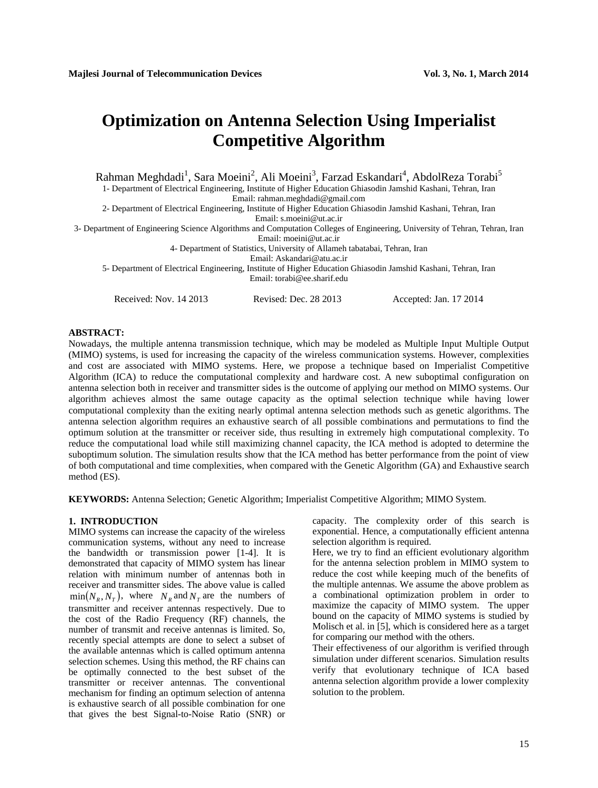# **Optimization on Antenna Selection Using Imperialist Competitive Algorithm**

Rahman Meghdadi<sup>1</sup>, Sara Moeini<sup>2</sup>, Ali Moeini<sup>3</sup>, Farzad Eskandari<sup>4</sup>, AbdolReza Torabi<sup>5</sup>

1- Department of Electrical Engineering, Institute of Higher Education Ghiasodin Jamshid Kashani, Tehran, Iran

Email: rahman.meghdadi@gmail.com 2- Department of Electrical Engineering, Institute of Higher Education Ghiasodin Jamshid Kashani, Tehran, Iran

Email: s.moeini@ut.ac.ir

3- Department of Engineering Science Algorithms and Computation Colleges of Engineering, University of Tehran, Tehran, Iran

Email: moeini@ut.ac.ir

4- Department of Statistics, University of Allameh tabatabai, Tehran, Iran

Email: Askandari@atu.ac.ir

5- Department of Electrical Engineering, Institute of Higher Education Ghiasodin Jamshid Kashani, Tehran, Iran Email: torabi@ee.sharif.edu

Received: Nov. 14 2013 Revised: Dec. 28 2013 Accepted: Jan. 17 2014

# **ABSTRACT:**

Nowadays, the multiple antenna transmission technique, which may be modeled as Multiple Input Multiple Output (MIMO) systems, is used for increasing the capacity of the wireless communication systems. However, complexities and cost are associated with MIMO systems. Here, we propose a technique based on Imperialist Competitive Algorithm (ICA) to reduce the computational complexity and hardware cost. A new suboptimal configuration on antenna selection both in receiver and transmitter sides is the outcome of applying our method on MIMO systems. Our algorithm achieves almost the same outage capacity as the optimal selection technique while having lower computational complexity than the exiting nearly optimal antenna selection methods such as genetic algorithms. The antenna selection algorithm requires an exhaustive search of all possible combinations and permutations to find the optimum solution at the transmitter or receiver side, thus resulting in extremely high computational complexity. To reduce the computational load while still maximizing channel capacity, the ICA method is adopted to determine the suboptimum solution. The simulation results show that the ICA method has better performance from the point of view of both computational and time complexities, when compared with the Genetic Algorithm (GA) and Exhaustive search method (ES).

**KEYWORDS:** Antenna Selection; Genetic Algorithm; Imperialist Competitive Algorithm; MIMO System.

#### **1. INTRODUCTION**

MIMO systems can increase the capacity of the wireless communication systems, without any need to increase the bandwidth or transmission power [1-4]. It is demonstrated that capacity of MIMO system has linear relation with minimum number of antennas both in receiver and transmitter sides. The above value is called  $\min(N_R, N_T)$ , where  $N_R$  and  $N_T$  are the numbers of transmitter and receiver antennas respectively. Due to the cost of the Radio Frequency (RF) channels, the number of transmit and receive antennas is limited. So, recently special attempts are done to select a subset of the available antennas which is called optimum antenna selection schemes. Using this method, the RF chains can be optimally connected to the best subset of the transmitter or receiver antennas. The conventional mechanism for finding an optimum selection of antenna is exhaustive search of all possible combination for one that gives the best Signal-to-Noise Ratio (SNR) or capacity. The complexity order of this search is exponential. Hence, a computationally efficient antenna selection algorithm is required.

Here, we try to find an efficient evolutionary algorithm for the antenna selection problem in MIMO system to reduce the cost while keeping much of the benefits of the multiple antennas. We assume the above problem as a combinational optimization problem in order to maximize the capacity of MIMO system. The upper bound on the capacity of MIMO systems is studied by Molisch et al. in [5], which is considered here as a target for comparing our method with the others.

Their effectiveness of our algorithm is verified through simulation under different scenarios. Simulation results verify that evolutionary technique of ICA based antenna selection algorithm provide a lower complexity solution to the problem.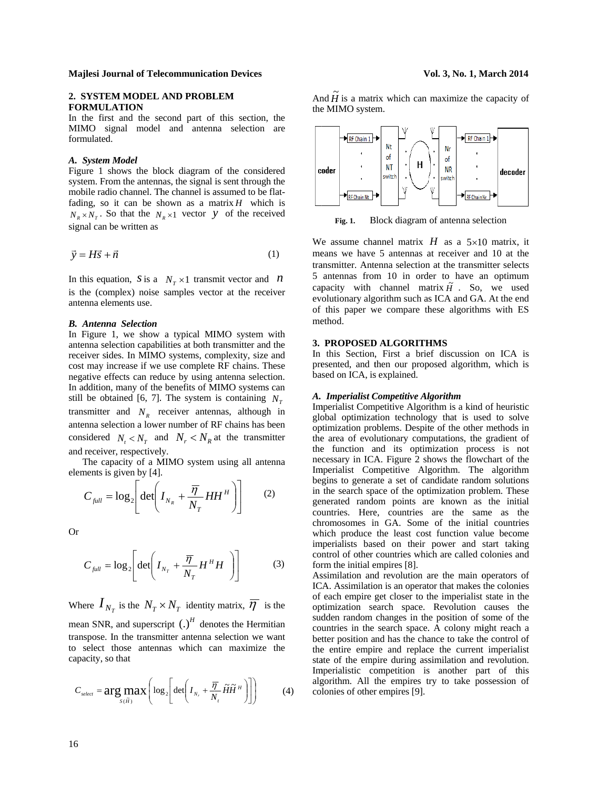#### **Majlesi Journal of Telecommunication Devices**

# 2. SYSTEM MODEL AND PROBLEM **FORMULATION**

In the first and the second part of this section, the MIMO signal model and antenna selection are formulated.

#### A. System Model

Figure 1 shows the block diagram of the considered system. From the antennas, the signal is sent through the mobile radio channel. The channel is assumed to be flatfading, so it can be shown as a matrix  $H$  which is  $N_R \times N_T$ . So that the  $N_R \times 1$  vector y of the received signal can be written as

$$
\vec{v} = H\vec{s} + \vec{n} \tag{1}
$$

In this equation, S is a  $N_r \times 1$  transmit vector and N is the (complex) noise samples vector at the receiver antenna elements use.

### **B.** Antenna Selection

In Figure 1, we show a typical MIMO system with antenna selection capabilities at both transmitter and the receiver sides. In MIMO systems, complexity, size and cost may increase if we use complete RF chains. These negative effects can reduce by using antenna selection. In addition, many of the benefits of MIMO systems can still be obtained [6, 7]. The system is containing  $N<sub>r</sub>$ transmitter and  $N_p$  receiver antennas, although in antenna selection a lower number of RF chains has been considered  $N_t < N_T$  and  $N_r < N_R$  at the transmitter and receiver, respectively.

The capacity of a MIMO system using all antenna elements is given by [4].

$$
C_{\text{full}} = \log_2 \left[ \det \left( I_{N_R} + \frac{\overline{\eta}}{N_T} H H^H \right) \right] \tag{2}
$$

**Or** 

$$
C_{\text{full}} = \log_2 \left[ \det \left( I_{N_T} + \frac{\overline{\eta}}{N_T} H^H H \right) \right] \tag{3}
$$

Where  $I_{N_T}$  is the  $N_T \times N_T$  identity matrix,  $\overline{\eta}$  is the mean SNR, and superscript  $(.)^H$  denotes the Hermitian transpose. In the transmitter antenna selection we want to select those antennas which can maximize the capacity, so that

$$
C_{select} = \arg \max_{S(\tilde{H})} \left( \log_2 \left[ \det \left( I_{N_r} + \frac{\overline{\eta}}{N_r} \widetilde{H} \widetilde{H}^H \right) \right] \right) \tag{4}
$$

Vol. 3, No. 1, March 2014

And  $\widetilde{H}$  is a matrix which can maximize the capacity of the MIMO system.



Fig. 1. Block diagram of antenna selection

We assume channel matrix  $H$  as a  $5\times10$  matrix, it means we have 5 antennas at receiver and 10 at the transmitter. Antenna selection at the transmitter selects 5 antennas from 10 in order to have an optimum capacity with channel matrix  $\tilde{H}$ . So, we used evolutionary algorithm such as ICA and GA. At the end of this paper we compare these algorithms with ES method.

### 3. PROPOSED ALGORITHMS

In this Section, First a brief discussion on ICA is presented, and then our proposed algorithm, which is based on ICA, is explained.

#### A. Imperialist Competitive Algorithm

Imperialist Competitive Algorithm is a kind of heuristic global optimization technology that is used to solve optimization problems. Despite of the other methods in the area of evolutionary computations, the gradient of the function and its optimization process is not necessary in ICA. Figure 2 shows the flowchart of the Imperialist Competitive Algorithm. The algorithm begins to generate a set of candidate random solutions in the search space of the optimization problem. These generated random points are known as the initial countries. Here, countries are the same as the chromosomes in GA. Some of the initial countries which produce the least cost function value become imperialists based on their power and start taking control of other countries which are called colonies and form the initial empires [8].

Assimilation and revolution are the main operators of ICA. Assimilation is an operator that makes the colonies of each empire get closer to the imperialist state in the optimization search space. Revolution causes the sudden random changes in the position of some of the countries in the search space. A colony might reach a better position and has the chance to take the control of the entire empire and replace the current imperialist state of the empire during assimilation and revolution. Imperialistic competition is another part of this algorithm. All the empires try to take possession of colonies of other empires [9].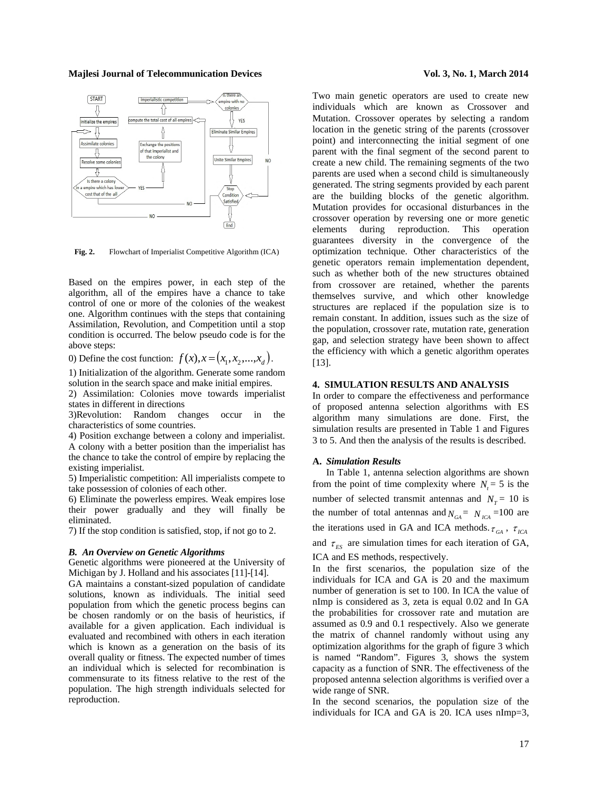#### **Majlesi Journal of Telecommunication Devices Vol. 3, No. 1, March 2014**



Fig. 2. Flowchart of Imperialist Competitive Algorithm (ICA)

Based on the empires power, in each step of the algorithm, all of the empires have a chance to take control of one or more of the colonies of the weakest one. Algorithm continues with the steps that containing Assimilation, Revolution, and Competition until a stop condition is occurred. The below pseudo code is for the above steps:

0) Define the cost function:  $f(x)$ ,  $x = (x_1, x_2, ..., x_d)$ .

1) Initialization of the algorithm. Generate some random solution in the search space and make initial empires.

2) Assimilation: Colonies move towards imperialist states in different in directions

3)Revolution: Random changes occur in the characteristics of some countries.

4) Position exchange between a colony and imperialist. A colony with a better position than the imperialist has the chance to take the control of empire by replacing the existing imperialist.

5) Imperialistic competition: All imperialists compete to take possession of colonies of each other.

6) Eliminate the powerless empires. Weak empires lose their power gradually and they will finally be eliminated.

7) If the stop condition is satisfied, stop, if not go to 2.

#### *B. An Overview on Genetic Algorithms*

Genetic algorithms were pioneered at the University of Michigan by J. Holland and his associates [11]-[14].

GA maintains a constant-sized population of candidate solutions, known as individuals. The initial seed population from which the genetic process begins can be chosen randomly or on the basis of heuristics, if available for a given application. Each individual is evaluated and recombined with others in each iteration which is known as a generation on the basis of its overall quality or fitness. The expected number of times an individual which is selected for recombination is commensurate to its fitness relative to the rest of the population. The high strength individuals selected for reproduction.

Two main genetic operators are used to create new individuals which are known as Crossover and Mutation. Crossover operates by selecting a random location in the genetic string of the parents (crossover point) and interconnecting the initial segment of one parent with the final segment of the second parent to create a new child. The remaining segments of the two parents are used when a second child is simultaneously generated. The string segments provided by each parent are the building blocks of the genetic algorithm. Mutation provides for occasional disturbances in the crossover operation by reversing one or more genetic elements during reproduction. This operation guarantees diversity in the convergence of the optimization technique. Other characteristics of the genetic operators remain implementation dependent, such as whether both of the new structures obtained from crossover are retained, whether the parents themselves survive, and which other knowledge structures are replaced if the population size is to remain constant. In addition, issues such as the size of the population, crossover rate, mutation rate, generation gap, and selection strategy have been shown to affect the efficiency with which a genetic algorithm operates [13].

# **4. SIMULATION RESULTS AND ANALYSIS**

In order to compare the effectiveness and performance of proposed antenna selection algorithms with ES algorithm many simulations are done. First, the simulation results are presented in Table 1 and Figures 3 to 5. And then the analysis of the results is described.

#### **A.** *Simulation Results*

In Table 1, antenna selection algorithms are shown from the point of time complexity where  $N<sub>r</sub> = 5$  is the number of selected transmit antennas and  $N<sub>T</sub> = 10$  is the number of total antennas and  $N_{GA} = N_{ICA} = 100$  are the iterations used in GA and ICA methods.  $\tau_{GA}$ ,  $\tau_{ICA}$ and  $\tau_{ES}$  are simulation times for each iteration of GA,

ICA and ES methods, respectively.

In the first scenarios, the population size of the individuals for ICA and GA is 20 and the maximum number of generation is set to 100. In ICA the value of nImp is considered as 3, zeta is equal 0.02 and In GA the probabilities for crossover rate and mutation are assumed as 0.9 and 0.1 respectively. Also we generate the matrix of channel randomly without using any optimization algorithms for the graph of figure 3 which is named "Random". Figures 3, shows the system capacity as a function of SNR. The effectiveness of the proposed antenna selection algorithms is verified over a wide range of SNR.

In the second scenarios, the population size of the individuals for ICA and GA is 20. ICA uses nImp=3,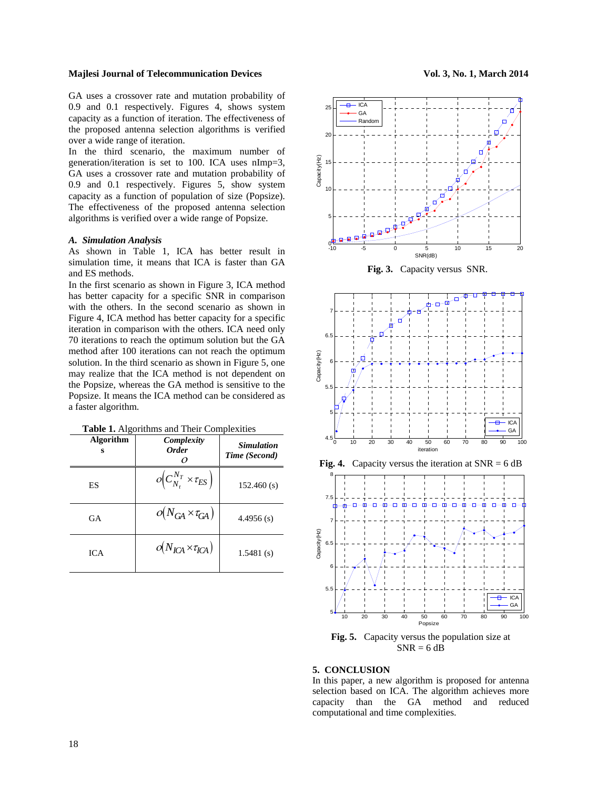#### **Majlesi Journal of Telecommunication Devices Vol. 3, No. 1, March 2014**

GA uses a crossover rate and mutation probability of 0.9 and 0.1 respectively. Figures 4, shows system capacity as a function of iteration. The effectiveness of the proposed antenna selection algorithms is verified over a wide range of iteration.

In the third scenario, the maximum number of generation/iteration is set to 100. ICA uses nImp=3, GA uses a crossover rate and mutation probability of 0.9 and 0.1 respectively. Figures 5, show system capacity as a function of population of size (Popsize). The effectiveness of the proposed antenna selection algorithms is verified over a wide range of Popsize.

#### *A. Simulation Analysis*

As shown in Table 1, ICA has better result in simulation time, it means that ICA is faster than GA and ES methods.

In the first scenario as shown in Figure 3, ICA method has better capacity for a specific SNR in comparison with the others. In the second scenario as shown in Figure 4, ICA method has better capacity for a specific iteration in comparison with the others. ICA need only 70 iterations to reach the optimum solution but the GA method after 100 iterations can not reach the optimum solution. In the third scenario as shown in Figure 5, one may realize that the ICA method is not dependent on the Popsize, whereas the GA method is sensitive to the Popsize. It means the ICA method can be considered as a faster algorithm.

| Table 1. Algorithms and Their Complexities |            |  |
|--------------------------------------------|------------|--|
| Algorithm                                  | Complexity |  |

| <b>Algorithm</b><br>s | Complexity<br><b>Order</b>                        | <b>Simulation</b><br>Time (Second) |
|-----------------------|---------------------------------------------------|------------------------------------|
| ES                    | $o\left(C_{N_{t}}^{N_{T}}\times \tau_{ES}\right)$ | 152.460(s)                         |
| GA                    | $o(N_{GA} \times \tau_{GA})$                      | $4.4956$ (s)                       |
| <b>ICA</b>            | $o(N_{\text{ICA}} \times \tau_{\text{ICA}})$      | 1.5481(s)                          |





**Fig. 3.** Capacity versus SNR.





**Fig. 5.** Capacity versus the population size at  $SNR = 6 dB$ 

## **5. CONCLUSION**

In this paper, a new algorithm is proposed for antenna selection based on ICA. The algorithm achieves more capacity than the GA method and reduced computational and time complexities.